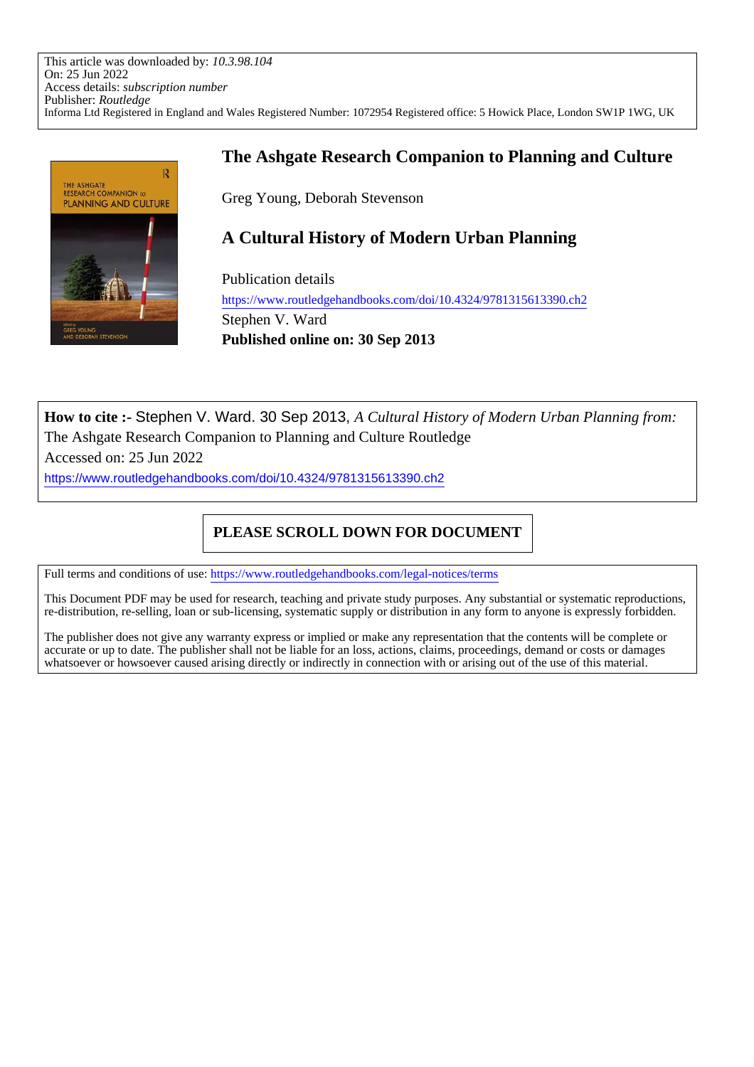This article was downloaded by: *10.3.98.104* On: 25 Jun 2022 Access details: *subscription number* Publisher: *Routledge* Informa Ltd Registered in England and Wales Registered Number: 1072954 Registered office: 5 Howick Place, London SW1P 1WG, UK



# **The Ashgate Research Companion to Planning and Culture**

Greg Young, Deborah Stevenson

# **A Cultural History of Modern Urban Planning**

Publication details https://www.routledgehandbooks.com/doi/10.4324/9781315613390.ch2 Stephen V. Ward **Published online on: 30 Sep 2013**

**How to cite :-** Stephen V. Ward. 30 Sep 2013, *A Cultural History of Modern Urban Planning from:* The Ashgate Research Companion to Planning and Culture Routledge

Accessed on: 25 Jun 2022

https://www.routledgehandbooks.com/doi/10.4324/9781315613390.ch2

# **PLEASE SCROLL DOWN FOR DOCUMENT**

Full terms and conditions of use: https://www.routledgehandbooks.com/legal-notices/terms

This Document PDF may be used for research, teaching and private study purposes. Any substantial or systematic reproductions, re-distribution, re-selling, loan or sub-licensing, systematic supply or distribution in any form to anyone is expressly forbidden.

The publisher does not give any warranty express or implied or make any representation that the contents will be complete or accurate or up to date. The publisher shall not be liable for an loss, actions, claims, proceedings, demand or costs or damages whatsoever or howsoever caused arising directly or indirectly in connection with or arising out of the use of this material.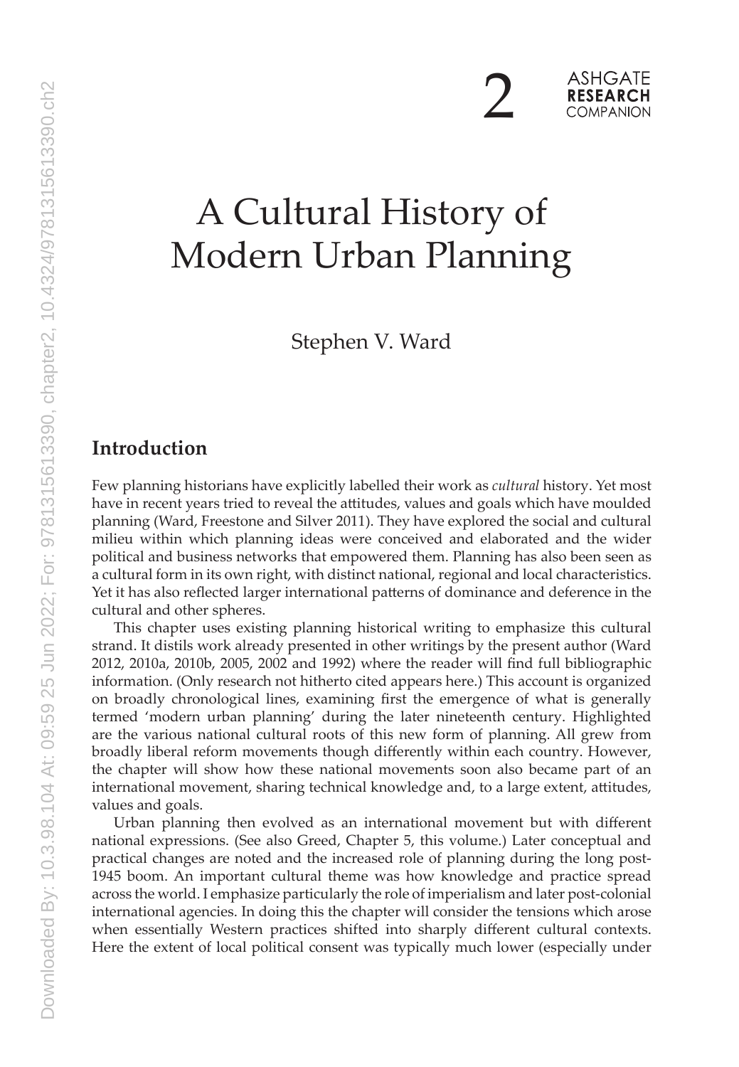$\sum$ 

# A Cultural History of Modern Urban Planning

Stephen V. Ward

# **Introduction**

Few planning historians have explicitly labelled their work as *cultural* history. Yet most have in recent years tried to reveal the attitudes, values and goals which have moulded planning (Ward, Freestone and Silver 2011). They have explored the social and cultural milieu within which planning ideas were conceived and elaborated and the wider political and business networks that empowered them. Planning has also been seen as a cultural form in its own right, with distinct national, regional and local characteristics. Yet it has also reflected larger international patterns of dominance and deference in the cultural and other spheres.

This chapter uses existing planning historical writing to emphasize this cultural strand. It distils work already presented in other writings by the present author (Ward 2012, 2010a, 2010b, 2005, 2002 and 1992) where the reader will find full bibliographic information. (Only research not hitherto cited appears here.) This account is organized on broadly chronological lines, examining first the emergence of what is generally termed 'modern urban planning' during the later nineteenth century. Highlighted are the various national cultural roots of this new form of planning. All grew from broadly liberal reform movements though differently within each country. However, the chapter will show how these national movements soon also became part of an international movement, sharing technical knowledge and, to a large extent, attitudes, values and goals.

Urban planning then evolved as an international movement but with different national expressions. (See also Greed, Chapter 5, this volume.) Later conceptual and practical changes are noted and the increased role of planning during the long post-1945 boom. An important cultural theme was how knowledge and practice spread across the world. I emphasize particularly the role of imperialism and later post-colonial international agencies. In doing this the chapter will consider the tensions which arose when essentially Western practices shifted into sharply different cultural contexts. Here the extent of local political consent was typically much lower (especially under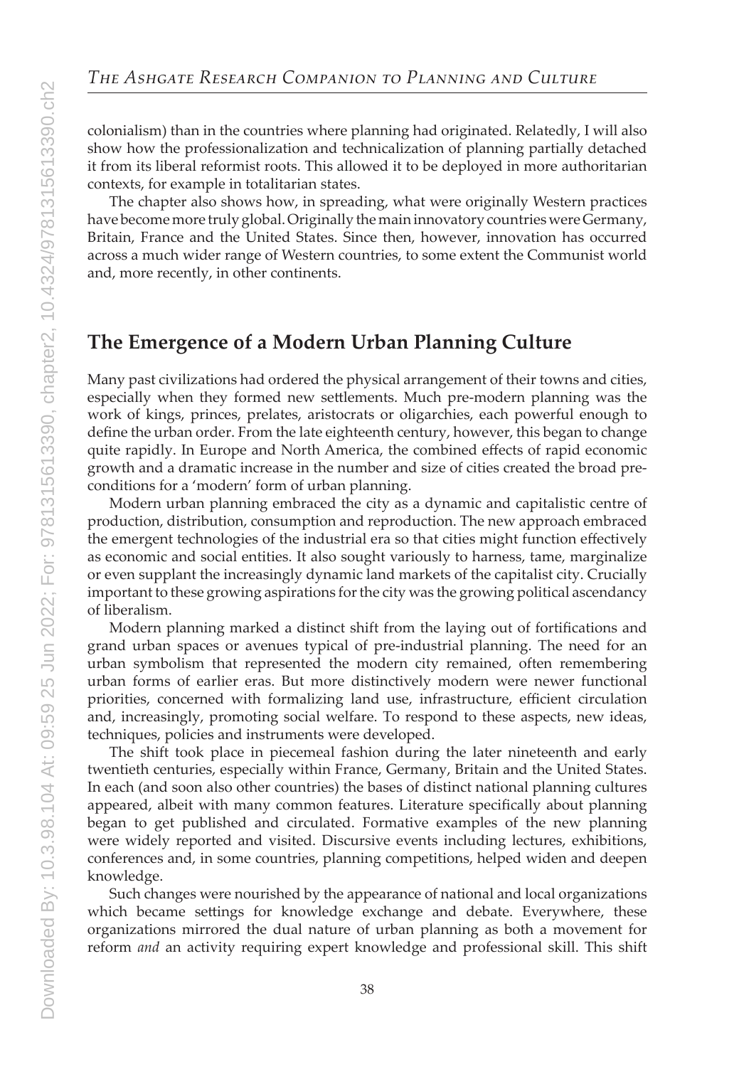colonialism) than in the countries where planning had originated. Relatedly, I will also show how the professionalization and technicalization of planning partially detached it from its liberal reformist roots. This allowed it to be deployed in more authoritarian contexts, for example in totalitarian states.

The chapter also shows how, in spreading, what were originally Western practices have become more truly global. Originally the main innovatory countries were Germany, Britain, France and the United States. Since then, however, innovation has occurred across a much wider range of Western countries, to some extent the Communist world and, more recently, in other continents.

#### **The Emergence of a Modern Urban Planning Culture**

Many past civilizations had ordered the physical arrangement of their towns and cities, especially when they formed new settlements. Much pre-modern planning was the work of kings, princes, prelates, aristocrats or oligarchies, each powerful enough to define the urban order. From the late eighteenth century, however, this began to change quite rapidly. In Europe and North America, the combined effects of rapid economic growth and a dramatic increase in the number and size of cities created the broad preconditions for a 'modern' form of urban planning.

Modern urban planning embraced the city as a dynamic and capitalistic centre of production, distribution, consumption and reproduction. The new approach embraced the emergent technologies of the industrial era so that cities might function effectively as economic and social entities. It also sought variously to harness, tame, marginalize or even supplant the increasingly dynamic land markets of the capitalist city. Crucially important to these growing aspirations for the city was the growing political ascendancy of liberalism.

Modern planning marked a distinct shift from the laying out of fortifications and grand urban spaces or avenues typical of pre-industrial planning. The need for an urban symbolism that represented the modern city remained, often remembering urban forms of earlier eras. But more distinctively modern were newer functional priorities, concerned with formalizing land use, infrastructure, efficient circulation and, increasingly, promoting social welfare. To respond to these aspects, new ideas, techniques, policies and instruments were developed.

The shift took place in piecemeal fashion during the later nineteenth and early twentieth centuries, especially within France, Germany, Britain and the United States. In each (and soon also other countries) the bases of distinct national planning cultures appeared, albeit with many common features. Literature specifically about planning began to get published and circulated. Formative examples of the new planning were widely reported and visited. Discursive events including lectures, exhibitions, conferences and, in some countries, planning competitions, helped widen and deepen knowledge.

Such changes were nourished by the appearance of national and local organizations which became settings for knowledge exchange and debate. Everywhere, these organizations mirrored the dual nature of urban planning as both a movement for reform *and* an activity requiring expert knowledge and professional skill. This shift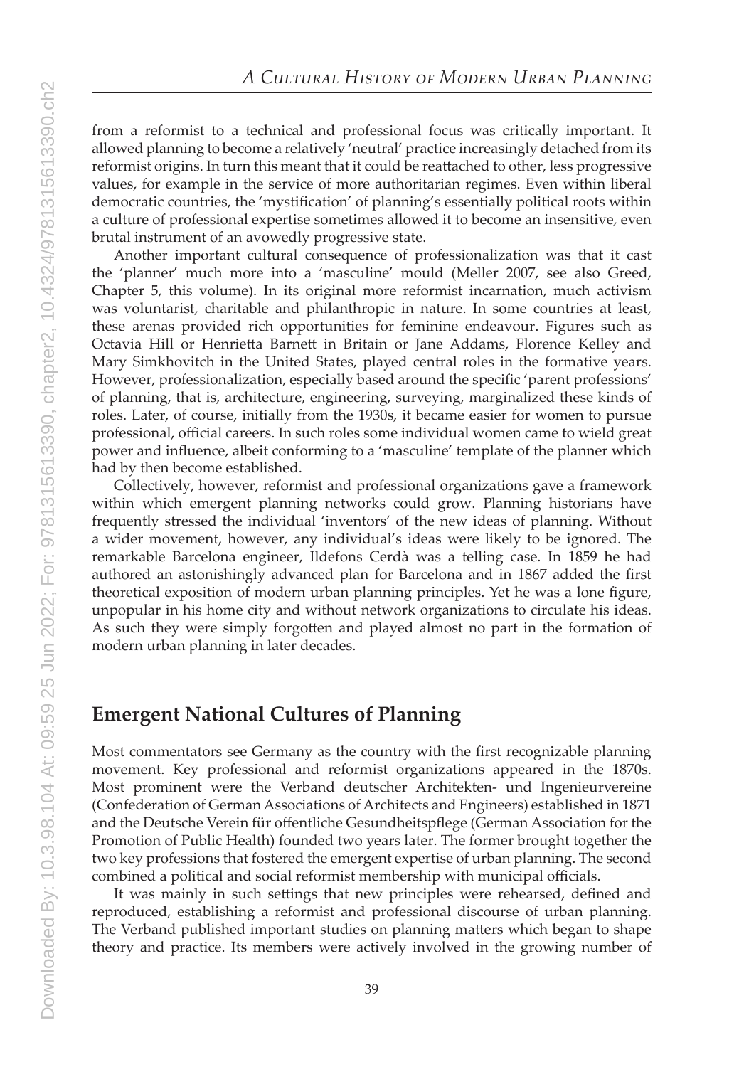from a reformist to a technical and professional focus was critically important. It allowed planning to become a relatively 'neutral' practice increasingly detached from its reformist origins. In turn this meant that it could be reattached to other, less progressive values, for example in the service of more authoritarian regimes. Even within liberal democratic countries, the 'mystification' of planning's essentially political roots within a culture of professional expertise sometimes allowed it to become an insensitive, even brutal instrument of an avowedly progressive state.

Another important cultural consequence of professionalization was that it cast the 'planner' much more into a 'masculine' mould (Meller 2007, see also Greed, Chapter 5, this volume). In its original more reformist incarnation, much activism was voluntarist, charitable and philanthropic in nature. In some countries at least, these arenas provided rich opportunities for feminine endeavour. Figures such as Octavia Hill or Henrietta Barnett in Britain or Jane Addams, Florence Kelley and Mary Simkhovitch in the United States, played central roles in the formative years. However, professionalization, especially based around the specific 'parent professions' of planning, that is, architecture, engineering, surveying, marginalized these kinds of roles. Later, of course, initially from the 1930s, it became easier for women to pursue professional, official careers. In such roles some individual women came to wield great power and influence, albeit conforming to a 'masculine' template of the planner which had by then become established.

Collectively, however, reformist and professional organizations gave a framework within which emergent planning networks could grow. Planning historians have frequently stressed the individual 'inventors' of the new ideas of planning. Without a wider movement, however, any individual's ideas were likely to be ignored. The remarkable Barcelona engineer, Ildefons Cerdà was a telling case. In 1859 he had authored an astonishingly advanced plan for Barcelona and in 1867 added the first theoretical exposition of modern urban planning principles. Yet he was a lone figure, unpopular in his home city and without network organizations to circulate his ideas. As such they were simply forgotten and played almost no part in the formation of modern urban planning in later decades.

#### **Emergent National Cultures of Planning**

Most commentators see Germany as the country with the first recognizable planning movement. Key professional and reformist organizations appeared in the 1870s. Most prominent were the Verband deutscher Architekten- und Ingenieurvereine (Confederation of German Associations of Architects and Engineers) established in 1871 and the Deutsche Verein für offentliche Gesundheitspflege (German Association for the Promotion of Public Health) founded two years later. The former brought together the two key professions that fostered the emergent expertise of urban planning. The second combined a political and social reformist membership with municipal officials.

It was mainly in such settings that new principles were rehearsed, defined and reproduced, establishing a reformist and professional discourse of urban planning. The Verband published important studies on planning matters which began to shape theory and practice. Its members were actively involved in the growing number of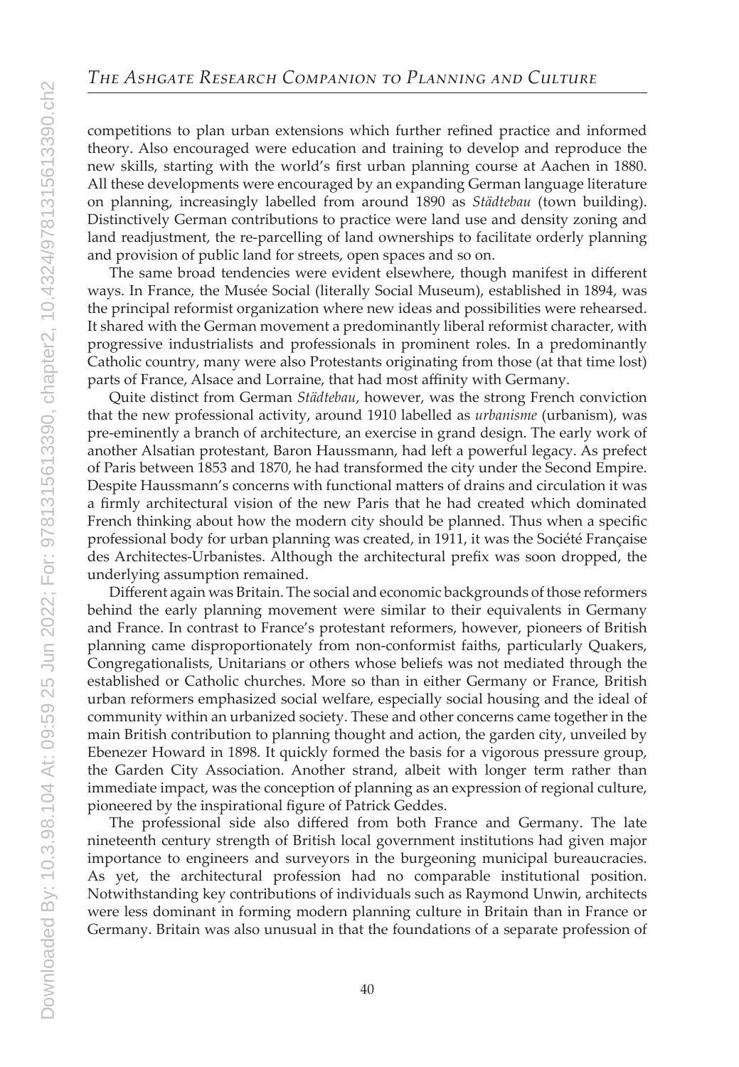competitions to plan urban extensions which further refined practice and informed theory. Also encouraged were education and training to develop and reproduce the new skills, starting with the world's first urban planning course at Aachen in 1880. All these developments were encouraged by an expanding German language literature on planning, increasingly labelled from around 1890 as *Städtebau* (town building). Distinctively German contributions to practice were land use and density zoning and land readjustment, the re-parcelling of land ownerships to facilitate orderly planning and provision of public land for streets, open spaces and so on.

The same broad tendencies were evident elsewhere, though manifest in different ways. In France, the Musée Social (literally Social Museum), established in 1894, was the principal reformist organization where new ideas and possibilities were rehearsed. It shared with the German movement a predominantly liberal reformist character, with progressive industrialists and professionals in prominent roles. In a predominantly Catholic country, many were also Protestants originating from those (at that time lost) parts of France, Alsace and Lorraine, that had most affinity with Germany.

Quite distinct from German *Städtebau*, however, was the strong French conviction that the new professional activity, around 1910 labelled as *urbanisme* (urbanism), was pre-eminently a branch of architecture, an exercise in grand design. The early work of another Alsatian protestant, Baron Haussmann, had left a powerful legacy. As prefect of Paris between 1853 and 1870, he had transformed the city under the Second Empire. Despite Haussmann's concerns with functional matters of drains and circulation it was a firmly architectural vision of the new Paris that he had created which dominated French thinking about how the modern city should be planned. Thus when a specific professional body for urban planning was created, in 1911, it was the Société Française des Architectes-Urbanistes. Although the architectural prefix was soon dropped, the underlying assumption remained.

Different again was Britain. The social and economic backgrounds of those reformers behind the early planning movement were similar to their equivalents in Germany and France. In contrast to France's protestant reformers, however, pioneers of British planning came disproportionately from non-conformist faiths, particularly Quakers, Congregationalists, Unitarians or others whose beliefs was not mediated through the established or Catholic churches. More so than in either Germany or France, British urban reformers emphasized social welfare, especially social housing and the ideal of community within an urbanized society. These and other concerns came together in the main British contribution to planning thought and action, the garden city, unveiled by Ebenezer Howard in 1898. It quickly formed the basis for a vigorous pressure group, the Garden City Association. Another strand, albeit with longer term rather than immediate impact, was the conception of planning as an expression of regional culture, pioneered by the inspirational figure of Patrick Geddes.

The professional side also differed from both France and Germany. The late nineteenth century strength of British local government institutions had given major importance to engineers and surveyors in the burgeoning municipal bureaucracies. As yet, the architectural profession had no comparable institutional position. Notwithstanding key contributions of individuals such as Raymond Unwin, architects were less dominant in forming modern planning culture in Britain than in France or Germany. Britain was also unusual in that the foundations of a separate profession of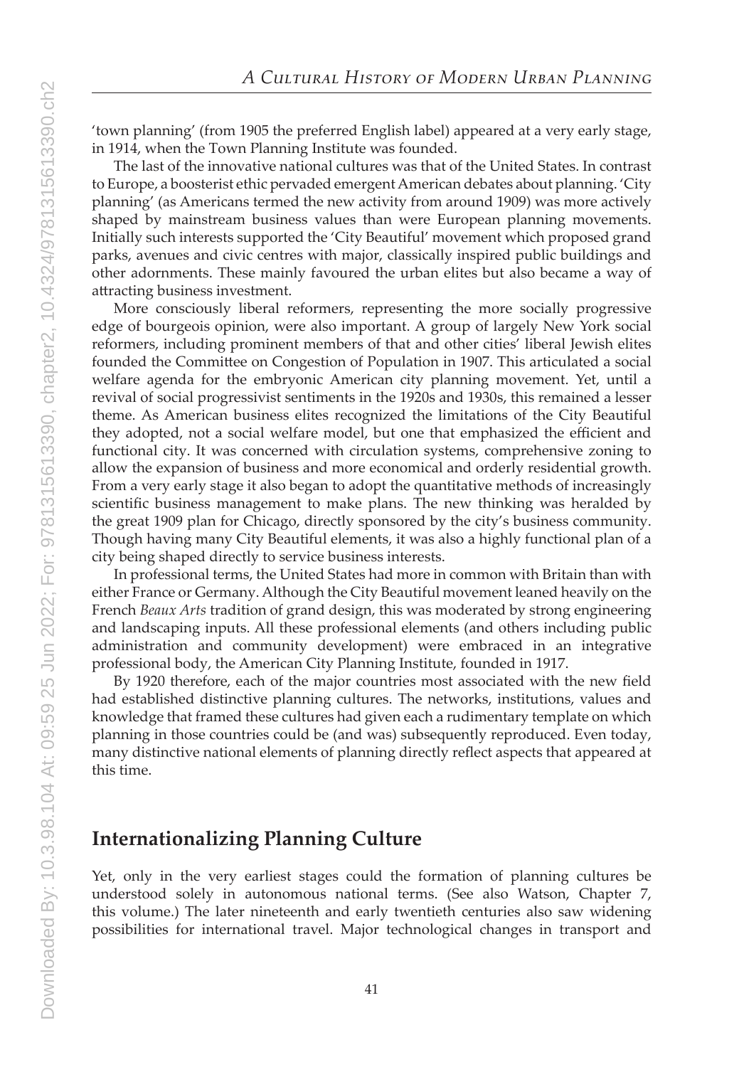'town planning' (from 1905 the preferred English label) appeared at a very early stage, in 1914, when the Town Planning Institute was founded.

The last of the innovative national cultures was that of the United States. In contrast to Europe, a boosterist ethic pervaded emergent American debates about planning. 'City planning' (as Americans termed the new activity from around 1909) was more actively shaped by mainstream business values than were European planning movements. Initially such interests supported the 'City Beautiful' movement which proposed grand parks, avenues and civic centres with major, classically inspired public buildings and other adornments. These mainly favoured the urban elites but also became a way of attracting business investment.

More consciously liberal reformers, representing the more socially progressive edge of bourgeois opinion, were also important. A group of largely New York social reformers, including prominent members of that and other cities' liberal Jewish elites founded the Committee on Congestion of Population in 1907. This articulated a social welfare agenda for the embryonic American city planning movement. Yet, until a revival of social progressivist sentiments in the 1920s and 1930s, this remained a lesser theme. As American business elites recognized the limitations of the City Beautiful they adopted, not a social welfare model, but one that emphasized the efficient and functional city. It was concerned with circulation systems, comprehensive zoning to allow the expansion of business and more economical and orderly residential growth. From a very early stage it also began to adopt the quantitative methods of increasingly scientific business management to make plans. The new thinking was heralded by the great 1909 plan for Chicago, directly sponsored by the city's business community. Though having many City Beautiful elements, it was also a highly functional plan of a city being shaped directly to service business interests.

In professional terms, the United States had more in common with Britain than with either France or Germany. Although the City Beautiful movement leaned heavily on the French *Beaux Arts* tradition of grand design, this was moderated by strong engineering and landscaping inputs. All these professional elements (and others including public administration and community development) were embraced in an integrative professional body, the American City Planning Institute, founded in 1917.

By 1920 therefore, each of the major countries most associated with the new field had established distinctive planning cultures. The networks, institutions, values and knowledge that framed these cultures had given each a rudimentary template on which planning in those countries could be (and was) subsequently reproduced. Even today, many distinctive national elements of planning directly reflect aspects that appeared at this time.

## **Internationalizing Planning Culture**

Yet, only in the very earliest stages could the formation of planning cultures be understood solely in autonomous national terms. (See also Watson, Chapter 7, this volume.) The later nineteenth and early twentieth centuries also saw widening possibilities for international travel. Major technological changes in transport and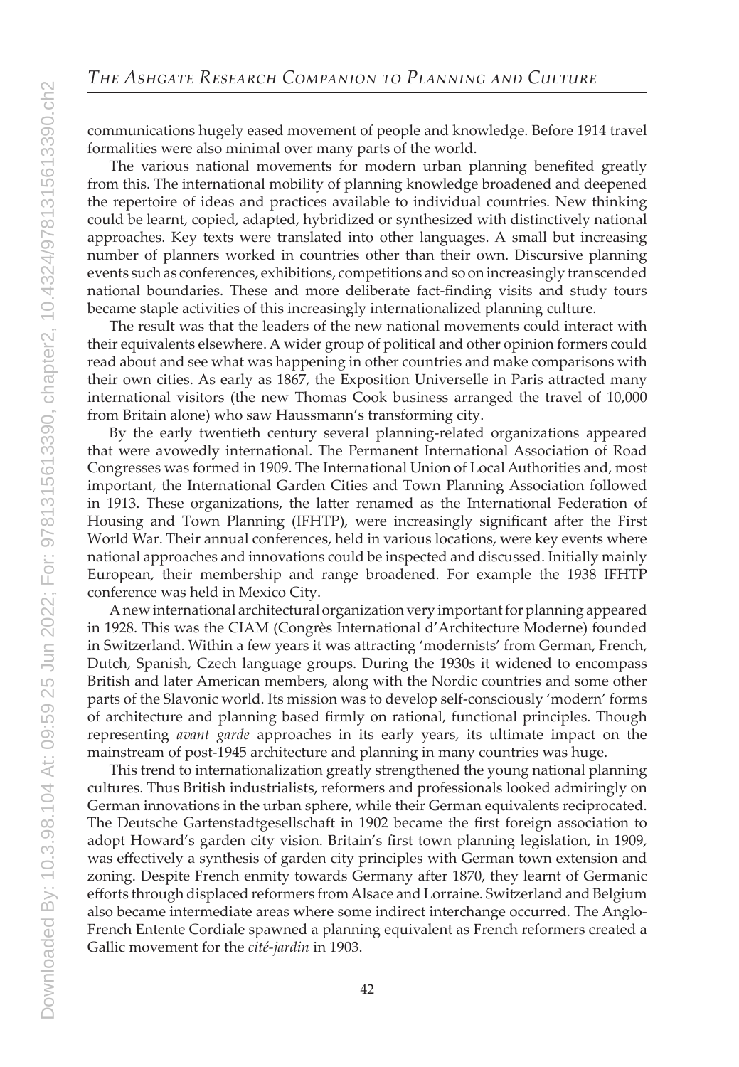communications hugely eased movement of people and knowledge. Before 1914 travel formalities were also minimal over many parts of the world.

The various national movements for modern urban planning benefited greatly from this. The international mobility of planning knowledge broadened and deepened the repertoire of ideas and practices available to individual countries. New thinking could be learnt, copied, adapted, hybridized or synthesized with distinctively national approaches. Key texts were translated into other languages. A small but increasing number of planners worked in countries other than their own. Discursive planning events such as conferences, exhibitions, competitions and so on increasingly transcended national boundaries. These and more deliberate fact-finding visits and study tours became staple activities of this increasingly internationalized planning culture.

The result was that the leaders of the new national movements could interact with their equivalents elsewhere. A wider group of political and other opinion formers could read about and see what was happening in other countries and make comparisons with their own cities. As early as 1867, the Exposition Universelle in Paris attracted many international visitors (the new Thomas Cook business arranged the travel of 10,000 from Britain alone) who saw Haussmann's transforming city.

By the early twentieth century several planning-related organizations appeared that were avowedly international. The Permanent International Association of Road Congresses was formed in 1909. The International Union of Local Authorities and, most important, the International Garden Cities and Town Planning Association followed in 1913. These organizations, the latter renamed as the International Federation of Housing and Town Planning (IFHTP), were increasingly significant after the First World War. Their annual conferences, held in various locations, were key events where national approaches and innovations could be inspected and discussed. Initially mainly European, their membership and range broadened. For example the 1938 IFHTP conference was held in Mexico City.

A new international architectural organization very important for planning appeared in 1928. This was the CIAM (Congrès International d'Architecture Moderne) founded in Switzerland. Within a few years it was attracting 'modernists' from German, French, Dutch, Spanish, Czech language groups. During the 1930s it widened to encompass British and later American members, along with the Nordic countries and some other parts of the Slavonic world. Its mission was to develop self-consciously 'modern' forms of architecture and planning based firmly on rational, functional principles. Though representing *avant garde* approaches in its early years, its ultimate impact on the mainstream of post-1945 architecture and planning in many countries was huge.

This trend to internationalization greatly strengthened the young national planning cultures. Thus British industrialists, reformers and professionals looked admiringly on German innovations in the urban sphere, while their German equivalents reciprocated. The Deutsche Gartenstadtgesellschaft in 1902 became the first foreign association to adopt Howard's garden city vision. Britain's first town planning legislation, in 1909, was effectively a synthesis of garden city principles with German town extension and zoning. Despite French enmity towards Germany after 1870, they learnt of Germanic efforts through displaced reformers from Alsace and Lorraine. Switzerland and Belgium also became intermediate areas where some indirect interchange occurred. The Anglo-French Entente Cordiale spawned a planning equivalent as French reformers created a Gallic movement for the *cité-jardin* in 1903.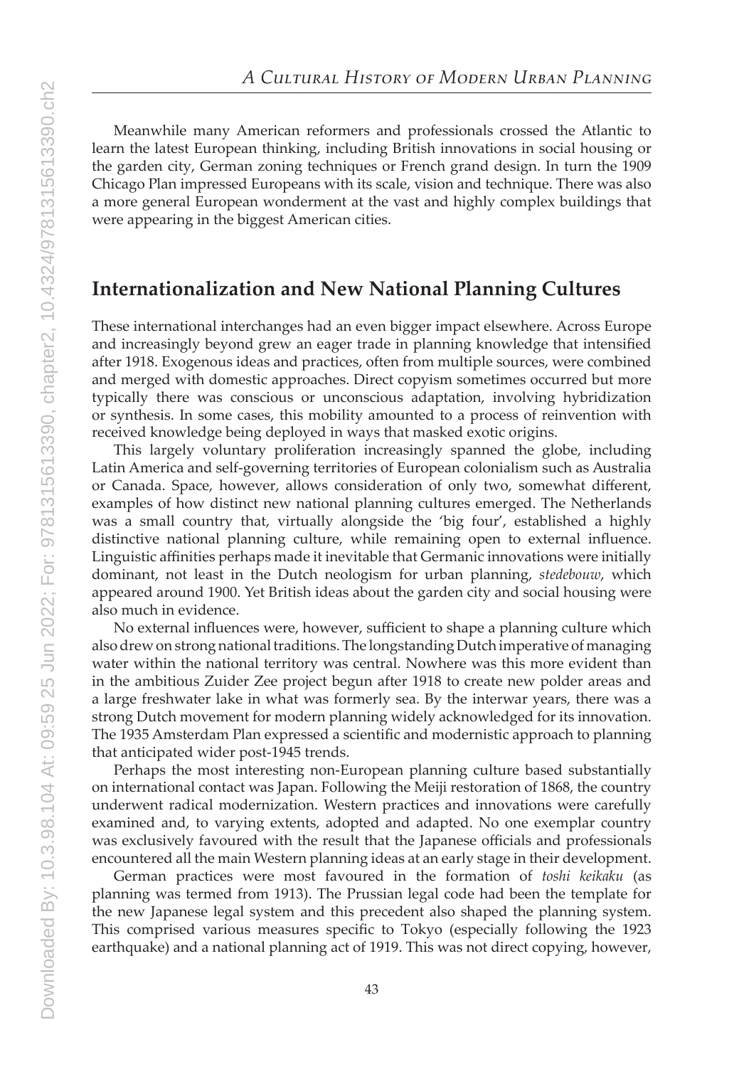Meanwhile many American reformers and professionals crossed the Atlantic to learn the latest European thinking, including British innovations in social housing or the garden city, German zoning techniques or French grand design. In turn the 1909 Chicago Plan impressed Europeans with its scale, vision and technique. There was also a more general European wonderment at the vast and highly complex buildings that were appearing in the biggest American cities.

## **Internationalization and New National Planning Cultures**

These international interchanges had an even bigger impact elsewhere. Across Europe and increasingly beyond grew an eager trade in planning knowledge that intensified after 1918. Exogenous ideas and practices, often from multiple sources, were combined and merged with domestic approaches. Direct copyism sometimes occurred but more typically there was conscious or unconscious adaptation, involving hybridization or synthesis. In some cases, this mobility amounted to a process of reinvention with received knowledge being deployed in ways that masked exotic origins.

This largely voluntary proliferation increasingly spanned the globe, including Latin America and self-governing territories of European colonialism such as Australia or Canada. Space, however, allows consideration of only two, somewhat different, examples of how distinct new national planning cultures emerged. The Netherlands was a small country that, virtually alongside the 'big four', established a highly distinctive national planning culture, while remaining open to external influence. Linguistic affinities perhaps made it inevitable that Germanic innovations were initially dominant, not least in the Dutch neologism for urban planning, *stedebouw*, which appeared around 1900. Yet British ideas about the garden city and social housing were also much in evidence.

No external influences were, however, sufficient to shape a planning culture which also drew on strong national traditions. The longstanding Dutch imperative of managing water within the national territory was central. Nowhere was this more evident than in the ambitious Zuider Zee project begun after 1918 to create new polder areas and a large freshwater lake in what was formerly sea. By the interwar years, there was a strong Dutch movement for modern planning widely acknowledged for its innovation. The 1935 Amsterdam Plan expressed a scientific and modernistic approach to planning that anticipated wider post-1945 trends.

Perhaps the most interesting non-European planning culture based substantially on international contact was Japan. Following the Meiji restoration of 1868, the country underwent radical modernization. Western practices and innovations were carefully examined and, to varying extents, adopted and adapted. No one exemplar country was exclusively favoured with the result that the Japanese officials and professionals encountered all the main Western planning ideas at an early stage in their development.

German practices were most favoured in the formation of *toshi keikaku* (as planning was termed from 1913). The Prussian legal code had been the template for the new Japanese legal system and this precedent also shaped the planning system. This comprised various measures specific to Tokyo (especially following the 1923 earthquake) and a national planning act of 1919. This was not direct copying, however,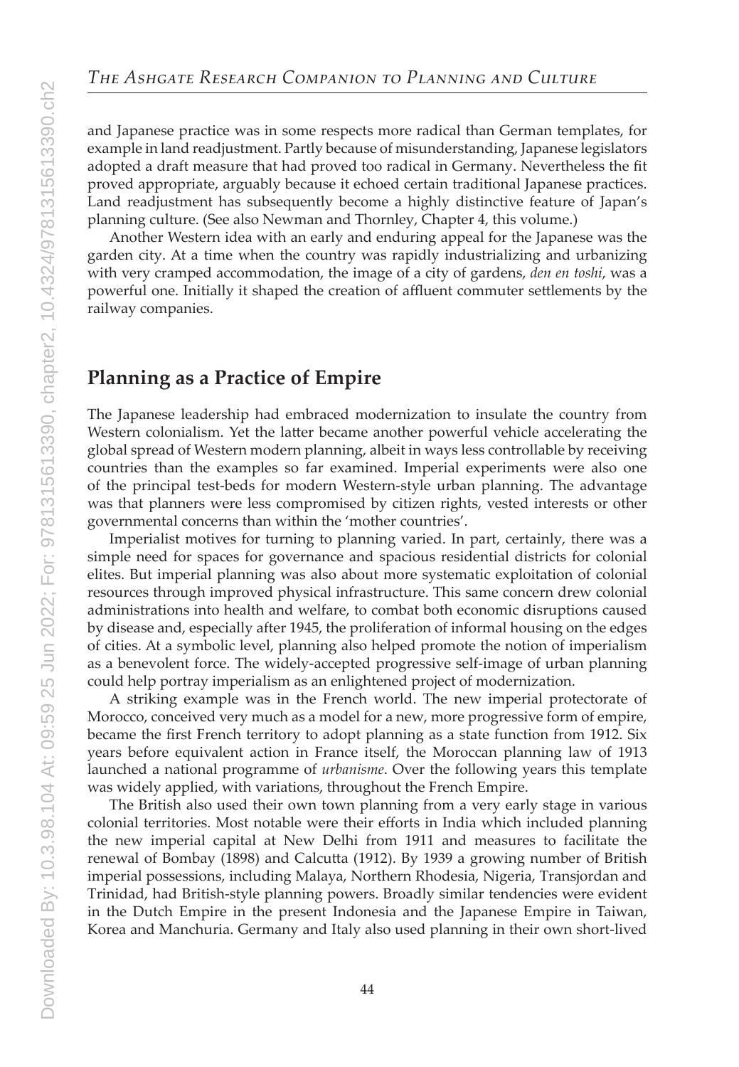and Japanese practice was in some respects more radical than German templates, for example in land readjustment. Partly because of misunderstanding, Japanese legislators adopted a draft measure that had proved too radical in Germany. Nevertheless the fit proved appropriate, arguably because it echoed certain traditional Japanese practices. Land readjustment has subsequently become a highly distinctive feature of Japan's planning culture. (See also Newman and Thornley, Chapter 4, this volume.)

Another Western idea with an early and enduring appeal for the Japanese was the garden city. At a time when the country was rapidly industrializing and urbanizing with very cramped accommodation, the image of a city of gardens, *den en toshi*, was a powerful one. Initially it shaped the creation of affluent commuter settlements by the railway companies.

## **Planning as a Practice of Empire**

The Japanese leadership had embraced modernization to insulate the country from Western colonialism. Yet the latter became another powerful vehicle accelerating the global spread of Western modern planning, albeit in ways less controllable by receiving countries than the examples so far examined. Imperial experiments were also one of the principal test-beds for modern Western-style urban planning. The advantage was that planners were less compromised by citizen rights, vested interests or other governmental concerns than within the 'mother countries'.

Imperialist motives for turning to planning varied. In part, certainly, there was a simple need for spaces for governance and spacious residential districts for colonial elites. But imperial planning was also about more systematic exploitation of colonial resources through improved physical infrastructure. This same concern drew colonial administrations into health and welfare, to combat both economic disruptions caused by disease and, especially after 1945, the proliferation of informal housing on the edges of cities. At a symbolic level, planning also helped promote the notion of imperialism as a benevolent force. The widely-accepted progressive self-image of urban planning could help portray imperialism as an enlightened project of modernization.

A striking example was in the French world. The new imperial protectorate of Morocco, conceived very much as a model for a new, more progressive form of empire, became the first French territory to adopt planning as a state function from 1912. Six years before equivalent action in France itself, the Moroccan planning law of 1913 launched a national programme of *urbanisme*. Over the following years this template was widely applied, with variations, throughout the French Empire.

The British also used their own town planning from a very early stage in various colonial territories. Most notable were their efforts in India which included planning the new imperial capital at New Delhi from 1911 and measures to facilitate the renewal of Bombay (1898) and Calcutta (1912). By 1939 a growing number of British imperial possessions, including Malaya, Northern Rhodesia, Nigeria, Transjordan and Trinidad, had British-style planning powers. Broadly similar tendencies were evident in the Dutch Empire in the present Indonesia and the Japanese Empire in Taiwan, Korea and Manchuria. Germany and Italy also used planning in their own short-lived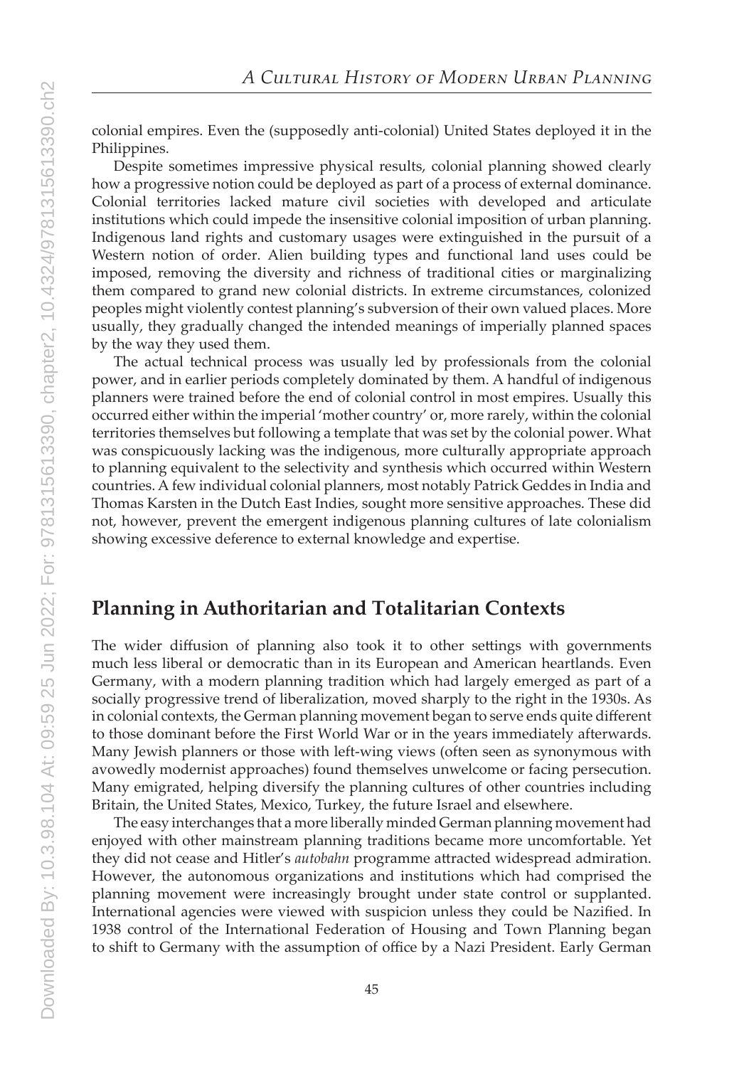colonial empires. Even the (supposedly anti-colonial) United States deployed it in the Philippines.

Despite sometimes impressive physical results, colonial planning showed clearly how a progressive notion could be deployed as part of a process of external dominance. Colonial territories lacked mature civil societies with developed and articulate institutions which could impede the insensitive colonial imposition of urban planning. Indigenous land rights and customary usages were extinguished in the pursuit of a Western notion of order. Alien building types and functional land uses could be imposed, removing the diversity and richness of traditional cities or marginalizing them compared to grand new colonial districts. In extreme circumstances, colonized peoples might violently contest planning's subversion of their own valued places. More usually, they gradually changed the intended meanings of imperially planned spaces by the way they used them.

The actual technical process was usually led by professionals from the colonial power, and in earlier periods completely dominated by them. A handful of indigenous planners were trained before the end of colonial control in most empires. Usually this occurred either within the imperial 'mother country' or, more rarely, within the colonial territories themselves but following a template that was set by the colonial power. What was conspicuously lacking was the indigenous, more culturally appropriate approach to planning equivalent to the selectivity and synthesis which occurred within Western countries. A few individual colonial planners, most notably Patrick Geddes in India and Thomas Karsten in the Dutch East Indies, sought more sensitive approaches. These did not, however, prevent the emergent indigenous planning cultures of late colonialism showing excessive deference to external knowledge and expertise.

#### **Planning in Authoritarian and Totalitarian Contexts**

The wider diffusion of planning also took it to other settings with governments much less liberal or democratic than in its European and American heartlands. Even Germany, with a modern planning tradition which had largely emerged as part of a socially progressive trend of liberalization, moved sharply to the right in the 1930s. As in colonial contexts, the German planning movement began to serve ends quite different to those dominant before the First World War or in the years immediately afterwards. Many Jewish planners or those with left-wing views (often seen as synonymous with avowedly modernist approaches) found themselves unwelcome or facing persecution. Many emigrated, helping diversify the planning cultures of other countries including Britain, the United States, Mexico, Turkey, the future Israel and elsewhere.

The easy interchanges that a more liberally minded German planning movement had enjoyed with other mainstream planning traditions became more uncomfortable. Yet they did not cease and Hitler's *autobahn* programme attracted widespread admiration. However, the autonomous organizations and institutions which had comprised the planning movement were increasingly brought under state control or supplanted. International agencies were viewed with suspicion unless they could be Nazified. In 1938 control of the International Federation of Housing and Town Planning began to shift to Germany with the assumption of office by a Nazi President. Early German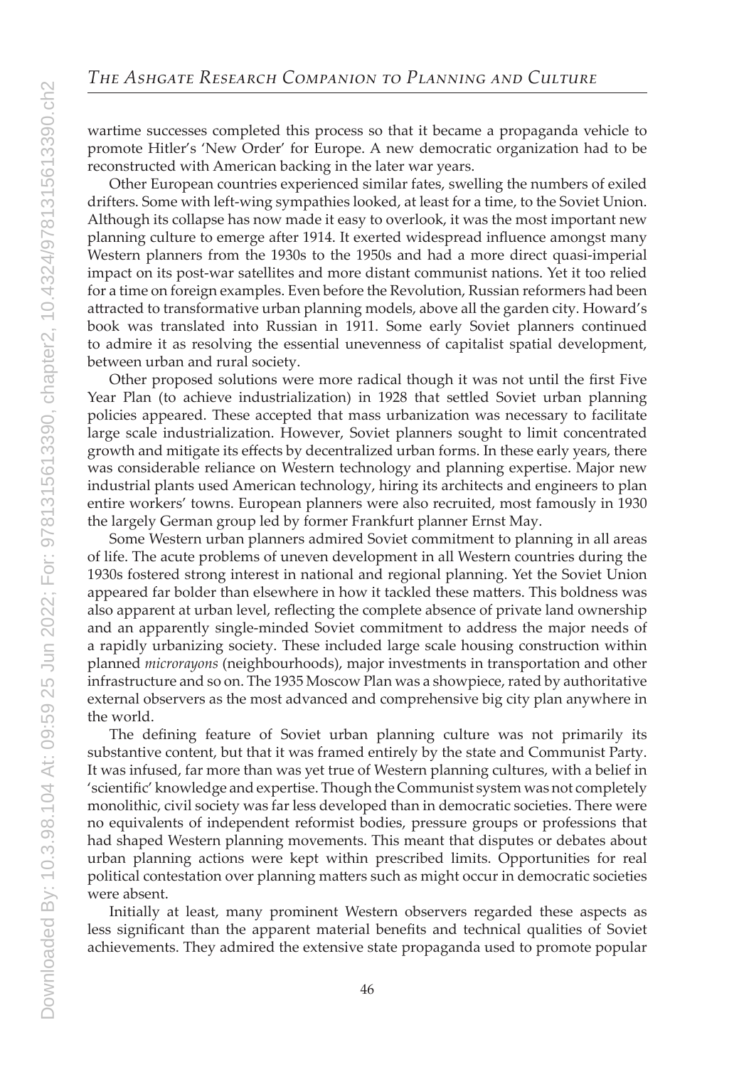wartime successes completed this process so that it became a propaganda vehicle to promote Hitler's 'New Order' for Europe. A new democratic organization had to be reconstructed with American backing in the later war years.

Other European countries experienced similar fates, swelling the numbers of exiled drifters. Some with left-wing sympathies looked, at least for a time, to the Soviet Union. Although its collapse has now made it easy to overlook, it was the most important new planning culture to emerge after 1914. It exerted widespread influence amongst many Western planners from the 1930s to the 1950s and had a more direct quasi-imperial impact on its post-war satellites and more distant communist nations. Yet it too relied for a time on foreign examples. Even before the Revolution, Russian reformers had been attracted to transformative urban planning models, above all the garden city. Howard's book was translated into Russian in 1911. Some early Soviet planners continued to admire it as resolving the essential unevenness of capitalist spatial development, between urban and rural society.

Other proposed solutions were more radical though it was not until the first Five Year Plan (to achieve industrialization) in 1928 that settled Soviet urban planning policies appeared. These accepted that mass urbanization was necessary to facilitate large scale industrialization. However, Soviet planners sought to limit concentrated growth and mitigate its effects by decentralized urban forms. In these early years, there was considerable reliance on Western technology and planning expertise. Major new industrial plants used American technology, hiring its architects and engineers to plan entire workers' towns. European planners were also recruited, most famously in 1930 the largely German group led by former Frankfurt planner Ernst May.

Some Western urban planners admired Soviet commitment to planning in all areas of life. The acute problems of uneven development in all Western countries during the 1930s fostered strong interest in national and regional planning. Yet the Soviet Union appeared far bolder than elsewhere in how it tackled these matters. This boldness was also apparent at urban level, reflecting the complete absence of private land ownership and an apparently single-minded Soviet commitment to address the major needs of a rapidly urbanizing society. These included large scale housing construction within planned *microrayons* (neighbourhoods), major investments in transportation and other infrastructure and so on. The 1935 Moscow Plan was a showpiece, rated by authoritative external observers as the most advanced and comprehensive big city plan anywhere in the world.

The defining feature of Soviet urban planning culture was not primarily its substantive content, but that it was framed entirely by the state and Communist Party. It was infused, far more than was yet true of Western planning cultures, with a belief in 'scientific' knowledge and expertise. Though the Communist system was not completely monolithic, civil society was far less developed than in democratic societies. There were no equivalents of independent reformist bodies, pressure groups or professions that had shaped Western planning movements. This meant that disputes or debates about urban planning actions were kept within prescribed limits. Opportunities for real political contestation over planning matters such as might occur in democratic societies were absent.

Initially at least, many prominent Western observers regarded these aspects as less significant than the apparent material benefits and technical qualities of Soviet achievements. They admired the extensive state propaganda used to promote popular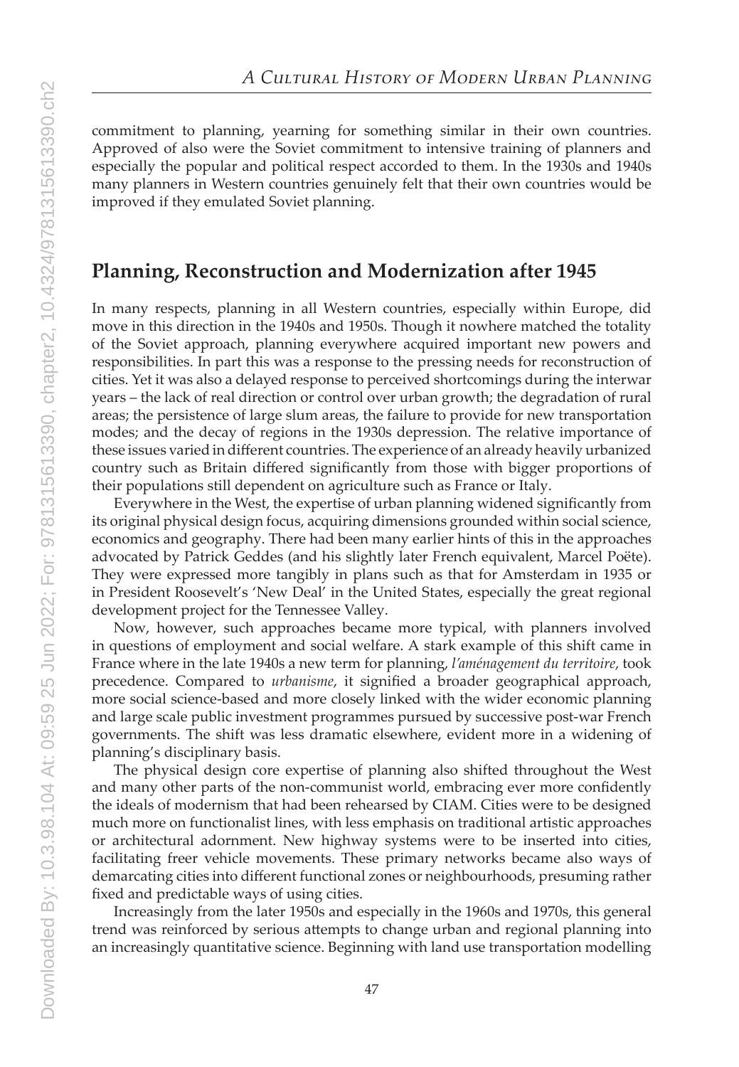commitment to planning, yearning for something similar in their own countries. Approved of also were the Soviet commitment to intensive training of planners and especially the popular and political respect accorded to them. In the 1930s and 1940s many planners in Western countries genuinely felt that their own countries would be improved if they emulated Soviet planning.

#### **Planning, Reconstruction and Modernization after 1945**

In many respects, planning in all Western countries, especially within Europe, did move in this direction in the 1940s and 1950s. Though it nowhere matched the totality of the Soviet approach, planning everywhere acquired important new powers and responsibilities. In part this was a response to the pressing needs for reconstruction of cities. Yet it was also a delayed response to perceived shortcomings during the interwar years – the lack of real direction or control over urban growth; the degradation of rural areas; the persistence of large slum areas, the failure to provide for new transportation modes; and the decay of regions in the 1930s depression. The relative importance of these issues varied in different countries. The experience of an already heavily urbanized country such as Britain differed significantly from those with bigger proportions of their populations still dependent on agriculture such as France or Italy.

Everywhere in the West, the expertise of urban planning widened significantly from its original physical design focus, acquiring dimensions grounded within social science, economics and geography. There had been many earlier hints of this in the approaches advocated by Patrick Geddes (and his slightly later French equivalent, Marcel Poëte). They were expressed more tangibly in plans such as that for Amsterdam in 1935 or in President Roosevelt's 'New Deal' in the United States, especially the great regional development project for the Tennessee Valley.

Now, however, such approaches became more typical, with planners involved in questions of employment and social welfare. A stark example of this shift came in France where in the late 1940s a new term for planning, *l'aménagement du territoire*, took precedence. Compared to *urbanisme*, it signified a broader geographical approach, more social science-based and more closely linked with the wider economic planning and large scale public investment programmes pursued by successive post-war French governments. The shift was less dramatic elsewhere, evident more in a widening of planning's disciplinary basis.

The physical design core expertise of planning also shifted throughout the West and many other parts of the non-communist world, embracing ever more confidently the ideals of modernism that had been rehearsed by CIAM. Cities were to be designed much more on functionalist lines, with less emphasis on traditional artistic approaches or architectural adornment. New highway systems were to be inserted into cities, facilitating freer vehicle movements. These primary networks became also ways of demarcating cities into different functional zones or neighbourhoods, presuming rather fixed and predictable ways of using cities.

Increasingly from the later 1950s and especially in the 1960s and 1970s, this general trend was reinforced by serious attempts to change urban and regional planning into an increasingly quantitative science. Beginning with land use transportation modelling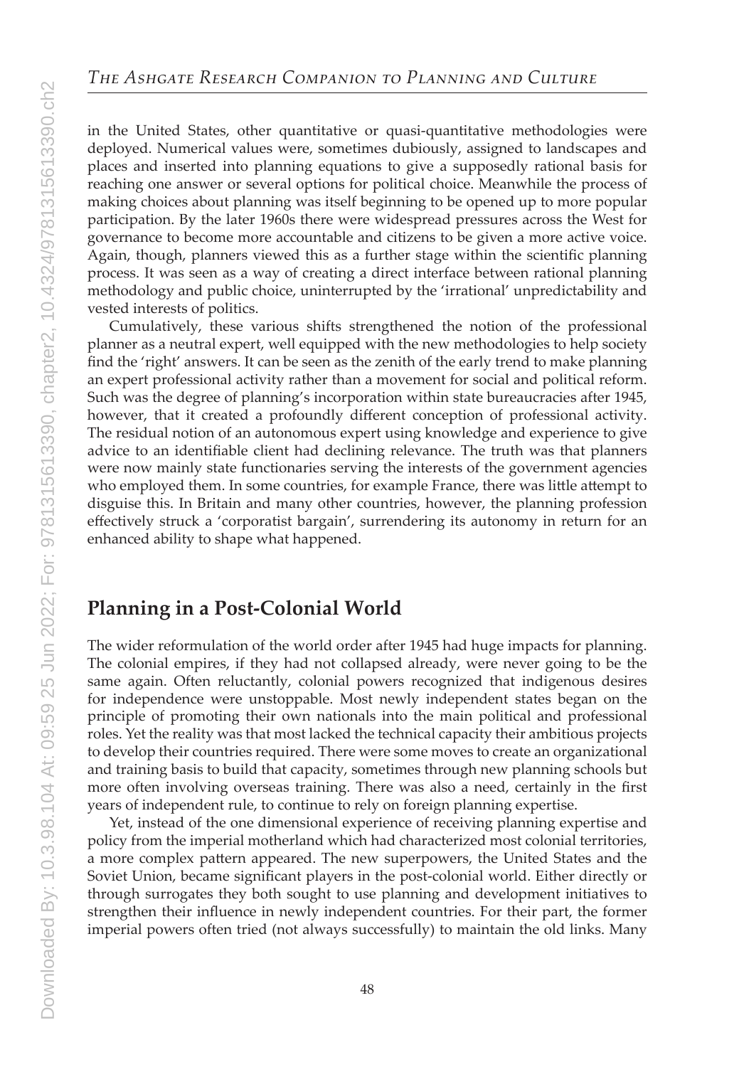in the United States, other quantitative or quasi-quantitative methodologies were deployed. Numerical values were, sometimes dubiously, assigned to landscapes and places and inserted into planning equations to give a supposedly rational basis for reaching one answer or several options for political choice. Meanwhile the process of making choices about planning was itself beginning to be opened up to more popular participation. By the later 1960s there were widespread pressures across the West for governance to become more accountable and citizens to be given a more active voice. Again, though, planners viewed this as a further stage within the scientific planning process. It was seen as a way of creating a direct interface between rational planning methodology and public choice, uninterrupted by the 'irrational' unpredictability and vested interests of politics.

Cumulatively, these various shifts strengthened the notion of the professional planner as a neutral expert, well equipped with the new methodologies to help society find the 'right' answers. It can be seen as the zenith of the early trend to make planning an expert professional activity rather than a movement for social and political reform. Such was the degree of planning's incorporation within state bureaucracies after 1945, however, that it created a profoundly different conception of professional activity. The residual notion of an autonomous expert using knowledge and experience to give advice to an identifiable client had declining relevance. The truth was that planners were now mainly state functionaries serving the interests of the government agencies who employed them. In some countries, for example France, there was little attempt to disguise this. In Britain and many other countries, however, the planning profession effectively struck a 'corporatist bargain', surrendering its autonomy in return for an enhanced ability to shape what happened.

## **Planning in a Post-Colonial World**

The wider reformulation of the world order after 1945 had huge impacts for planning. The colonial empires, if they had not collapsed already, were never going to be the same again. Often reluctantly, colonial powers recognized that indigenous desires for independence were unstoppable. Most newly independent states began on the principle of promoting their own nationals into the main political and professional roles. Yet the reality was that most lacked the technical capacity their ambitious projects to develop their countries required. There were some moves to create an organizational and training basis to build that capacity, sometimes through new planning schools but more often involving overseas training. There was also a need, certainly in the first years of independent rule, to continue to rely on foreign planning expertise.

Yet, instead of the one dimensional experience of receiving planning expertise and policy from the imperial motherland which had characterized most colonial territories, a more complex pattern appeared. The new superpowers, the United States and the Soviet Union, became significant players in the post-colonial world. Either directly or through surrogates they both sought to use planning and development initiatives to strengthen their influence in newly independent countries. For their part, the former imperial powers often tried (not always successfully) to maintain the old links. Many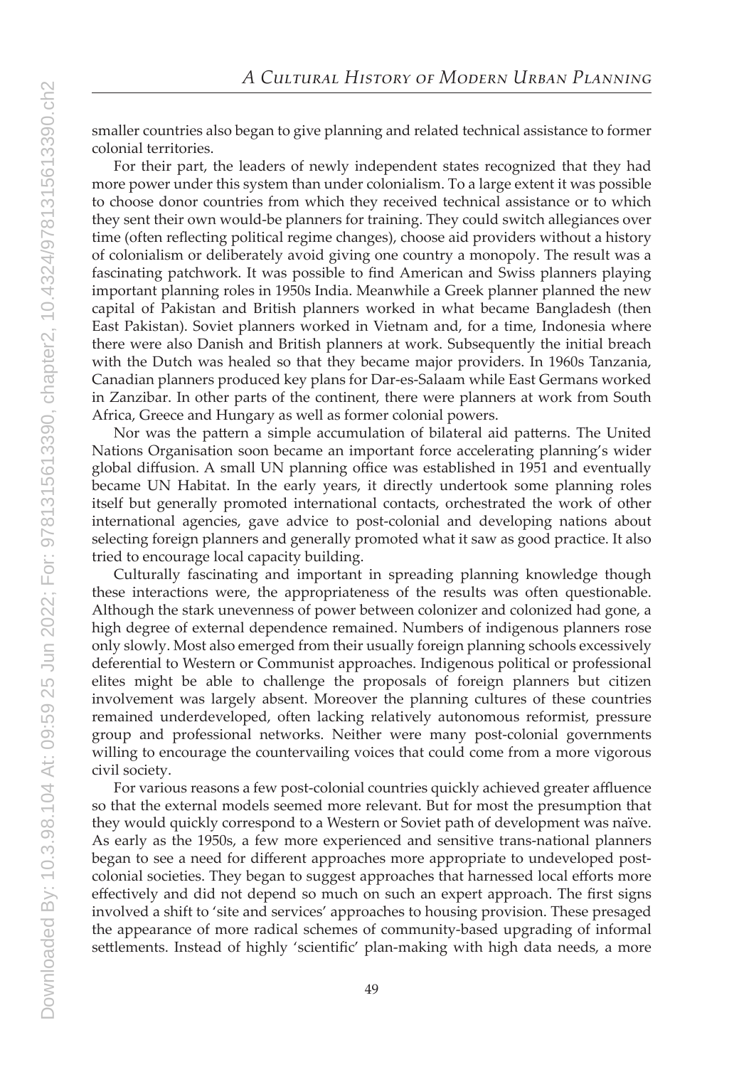smaller countries also began to give planning and related technical assistance to former colonial territories.

For their part, the leaders of newly independent states recognized that they had more power under this system than under colonialism. To a large extent it was possible to choose donor countries from which they received technical assistance or to which they sent their own would-be planners for training. They could switch allegiances over time (often reflecting political regime changes), choose aid providers without a history of colonialism or deliberately avoid giving one country a monopoly. The result was a fascinating patchwork. It was possible to find American and Swiss planners playing important planning roles in 1950s India. Meanwhile a Greek planner planned the new capital of Pakistan and British planners worked in what became Bangladesh (then East Pakistan). Soviet planners worked in Vietnam and, for a time, Indonesia where there were also Danish and British planners at work. Subsequently the initial breach with the Dutch was healed so that they became major providers. In 1960s Tanzania, Canadian planners produced key plans for Dar-es-Salaam while East Germans worked in Zanzibar. In other parts of the continent, there were planners at work from South Africa, Greece and Hungary as well as former colonial powers.

Nor was the pattern a simple accumulation of bilateral aid patterns. The United Nations Organisation soon became an important force accelerating planning's wider global diffusion. A small UN planning office was established in 1951 and eventually became UN Habitat. In the early years, it directly undertook some planning roles itself but generally promoted international contacts, orchestrated the work of other international agencies, gave advice to post-colonial and developing nations about selecting foreign planners and generally promoted what it saw as good practice. It also tried to encourage local capacity building.

Culturally fascinating and important in spreading planning knowledge though these interactions were, the appropriateness of the results was often questionable. Although the stark unevenness of power between colonizer and colonized had gone, a high degree of external dependence remained. Numbers of indigenous planners rose only slowly. Most also emerged from their usually foreign planning schools excessively deferential to Western or Communist approaches. Indigenous political or professional elites might be able to challenge the proposals of foreign planners but citizen involvement was largely absent. Moreover the planning cultures of these countries remained underdeveloped, often lacking relatively autonomous reformist, pressure group and professional networks. Neither were many post-colonial governments willing to encourage the countervailing voices that could come from a more vigorous civil society.

For various reasons a few post-colonial countries quickly achieved greater affluence so that the external models seemed more relevant. But for most the presumption that they would quickly correspond to a Western or Soviet path of development was naïve. As early as the 1950s, a few more experienced and sensitive trans-national planners began to see a need for different approaches more appropriate to undeveloped postcolonial societies. They began to suggest approaches that harnessed local efforts more effectively and did not depend so much on such an expert approach. The first signs involved a shift to 'site and services' approaches to housing provision. These presaged the appearance of more radical schemes of community-based upgrading of informal settlements. Instead of highly 'scientific' plan-making with high data needs, a more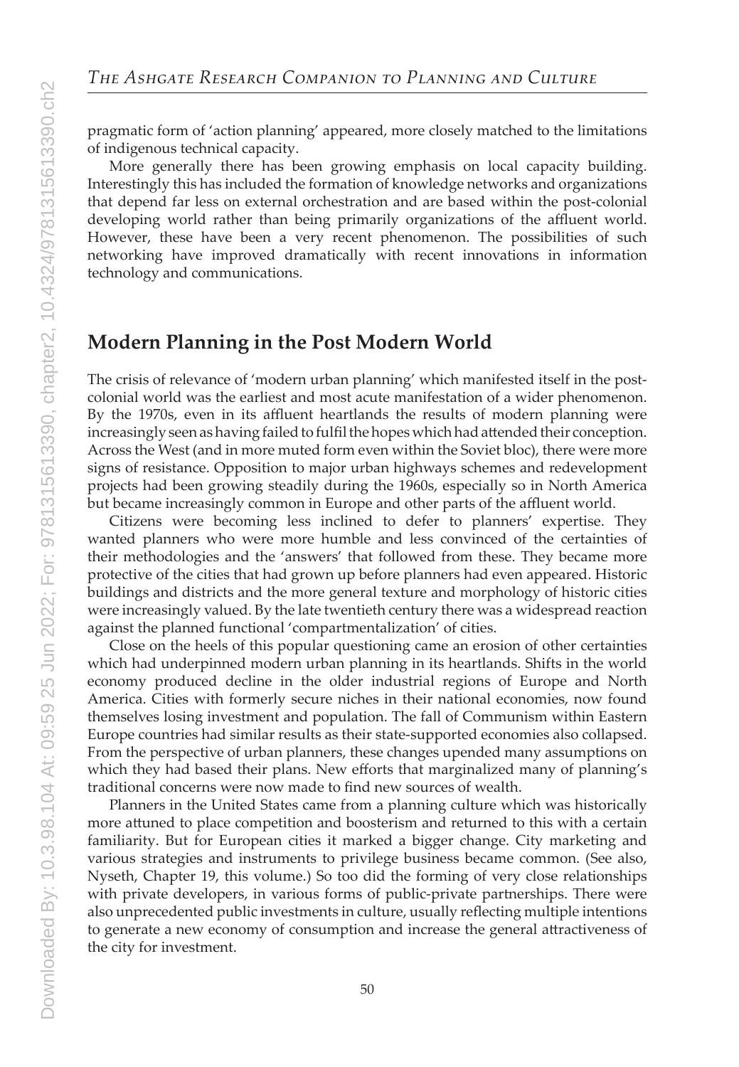pragmatic form of 'action planning' appeared, more closely matched to the limitations of indigenous technical capacity.

More generally there has been growing emphasis on local capacity building. Interestingly this has included the formation of knowledge networks and organizations that depend far less on external orchestration and are based within the post-colonial developing world rather than being primarily organizations of the affluent world. However, these have been a very recent phenomenon. The possibilities of such networking have improved dramatically with recent innovations in information technology and communications.

#### **Modern Planning in the Post Modern World**

The crisis of relevance of 'modern urban planning' which manifested itself in the postcolonial world was the earliest and most acute manifestation of a wider phenomenon. By the 1970s, even in its affluent heartlands the results of modern planning were increasingly seen as having failed to fulfil the hopes which had attended their conception. Across the West (and in more muted form even within the Soviet bloc), there were more signs of resistance. Opposition to major urban highways schemes and redevelopment projects had been growing steadily during the 1960s, especially so in North America but became increasingly common in Europe and other parts of the affluent world.

Citizens were becoming less inclined to defer to planners' expertise. They wanted planners who were more humble and less convinced of the certainties of their methodologies and the 'answers' that followed from these. They became more protective of the cities that had grown up before planners had even appeared. Historic buildings and districts and the more general texture and morphology of historic cities were increasingly valued. By the late twentieth century there was a widespread reaction against the planned functional 'compartmentalization' of cities.

Close on the heels of this popular questioning came an erosion of other certainties which had underpinned modern urban planning in its heartlands. Shifts in the world economy produced decline in the older industrial regions of Europe and North America. Cities with formerly secure niches in their national economies, now found themselves losing investment and population. The fall of Communism within Eastern Europe countries had similar results as their state-supported economies also collapsed. From the perspective of urban planners, these changes upended many assumptions on which they had based their plans. New efforts that marginalized many of planning's traditional concerns were now made to find new sources of wealth.

Planners in the United States came from a planning culture which was historically more attuned to place competition and boosterism and returned to this with a certain familiarity. But for European cities it marked a bigger change. City marketing and various strategies and instruments to privilege business became common. (See also, Nyseth, Chapter 19, this volume.) So too did the forming of very close relationships with private developers, in various forms of public-private partnerships. There were also unprecedented public investments in culture, usually reflecting multiple intentions to generate a new economy of consumption and increase the general attractiveness of the city for investment.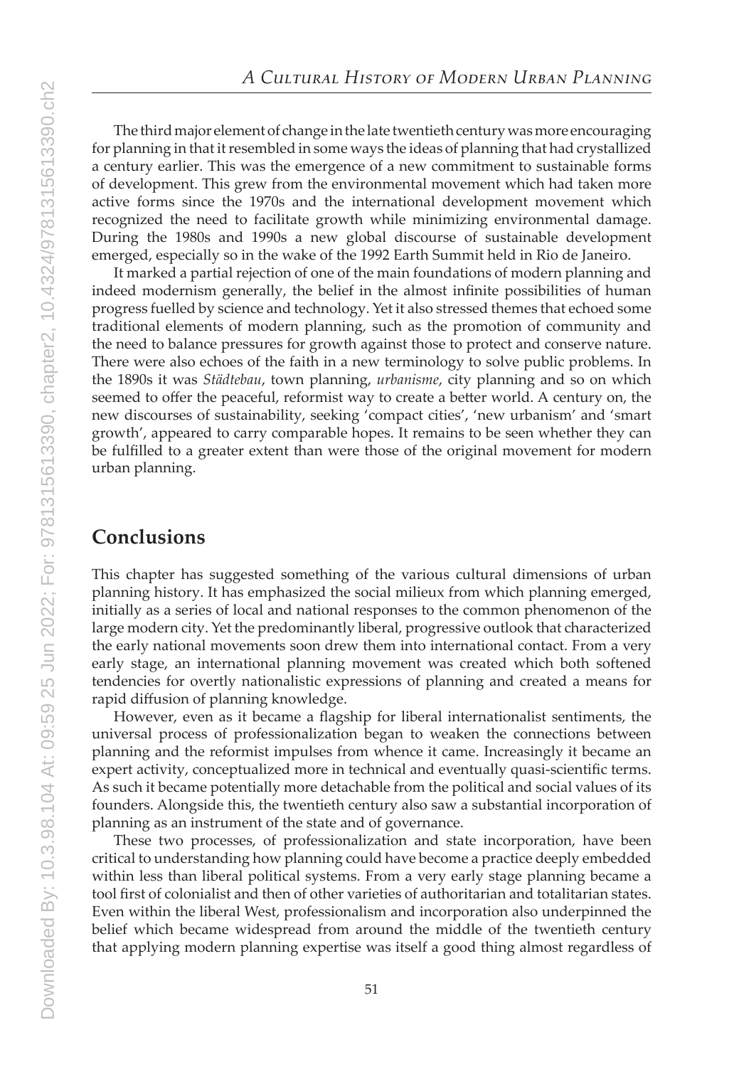The third major element of change in the late twentieth century was more encouraging for planning in that it resembled in some ways the ideas of planning that had crystallized a century earlier. This was the emergence of a new commitment to sustainable forms of development. This grew from the environmental movement which had taken more active forms since the 1970s and the international development movement which recognized the need to facilitate growth while minimizing environmental damage. During the 1980s and 1990s a new global discourse of sustainable development emerged, especially so in the wake of the 1992 Earth Summit held in Rio de Janeiro.

It marked a partial rejection of one of the main foundations of modern planning and indeed modernism generally, the belief in the almost infinite possibilities of human progress fuelled by science and technology. Yet it also stressed themes that echoed some traditional elements of modern planning, such as the promotion of community and the need to balance pressures for growth against those to protect and conserve nature. There were also echoes of the faith in a new terminology to solve public problems. In the 1890s it was *Städtebau*, town planning, *urbanisme*, city planning and so on which seemed to offer the peaceful, reformist way to create a better world. A century on, the new discourses of sustainability, seeking 'compact cities', 'new urbanism' and 'smart growth', appeared to carry comparable hopes. It remains to be seen whether they can be fulfilled to a greater extent than were those of the original movement for modern urban planning.

#### **Conclusions**

This chapter has suggested something of the various cultural dimensions of urban planning history. It has emphasized the social milieux from which planning emerged, initially as a series of local and national responses to the common phenomenon of the large modern city. Yet the predominantly liberal, progressive outlook that characterized the early national movements soon drew them into international contact. From a very early stage, an international planning movement was created which both softened tendencies for overtly nationalistic expressions of planning and created a means for rapid diffusion of planning knowledge.

However, even as it became a flagship for liberal internationalist sentiments, the universal process of professionalization began to weaken the connections between planning and the reformist impulses from whence it came. Increasingly it became an expert activity, conceptualized more in technical and eventually quasi-scientific terms. As such it became potentially more detachable from the political and social values of its founders. Alongside this, the twentieth century also saw a substantial incorporation of planning as an instrument of the state and of governance.

These two processes, of professionalization and state incorporation, have been critical to understanding how planning could have become a practice deeply embedded within less than liberal political systems. From a very early stage planning became a tool first of colonialist and then of other varieties of authoritarian and totalitarian states. Even within the liberal West, professionalism and incorporation also underpinned the belief which became widespread from around the middle of the twentieth century that applying modern planning expertise was itself a good thing almost regardless of